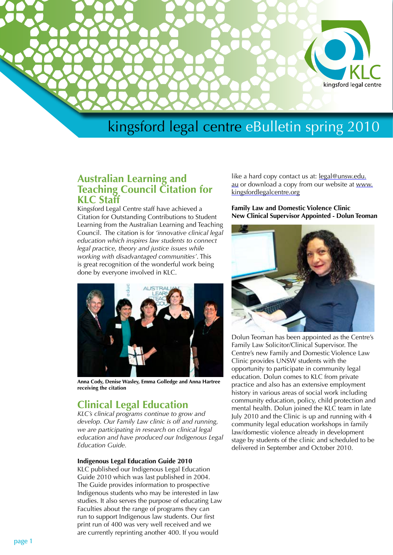

# **Australian Learning and Teaching Council Citation for KLC Staff**

Kingsford Legal Centre staff have achieved a Citation for Outstanding Contributions to Student Learning from the Australian Learning and Teaching Council. The citation is for *'innovative clinical legal education which inspires law students to connect legal practice, theory and justice issues while working with disadvantaged communities'*. This is great recognition of the wonderful work being done by everyone involved in KLC.



**Anna Cody, Denise Wasley, Emma Golledge and Anna Hartree receiving the citation**

# **Clinical Legal Education**

*KLC's clinical programs continue to grow and develop. Our Family Law clinic is off and running, we are participating in research on clinical legal education and have produced our Indigenous Legal Education Guide.*

## **Indigenous Legal Education Guide 2010**

KLC published our Indigenous Legal Education Guide 2010 which was last published in 2004. The Guide provides information to prospective Indigenous students who may be interested in law studies. It also serves the purpose of educating Law Faculties about the range of programs they can run to support Indigenous law students. Our first print run of 400 was very well received and we are currently reprinting another 400. If you would

like a hard copy contact us at: [legal@unsw.edu.](mailto:legal@unsw.edu.au) [au](mailto:legal@unsw.edu.au) or download a copy from our website at [www.](http://www.kingsfordlegalcentre.org ) [kingsfordlegalcentre.org](http://www.kingsfordlegalcentre.org )

**Family Law and Domestic Violence Clinic New Clinical Supervisor Appointed - Dolun Teoman**



Dolun Teoman has been appointed as the Centre's Family Law Solicitor/Clinical Supervisor. The Centre's new Family and Domestic Violence Law Clinic provides UNSW students with the opportunity to participate in community legal education. Dolun comes to KLC from private practice and also has an extensive employment history in various areas of social work including community education, policy, child protection and mental health. Dolun joined the KLC team in late July 2010 and the Clinic is up and running with 4 community legal education workshops in family law/domestic violence already in development stage by students of the clinic and scheduled to be delivered in September and October 2010.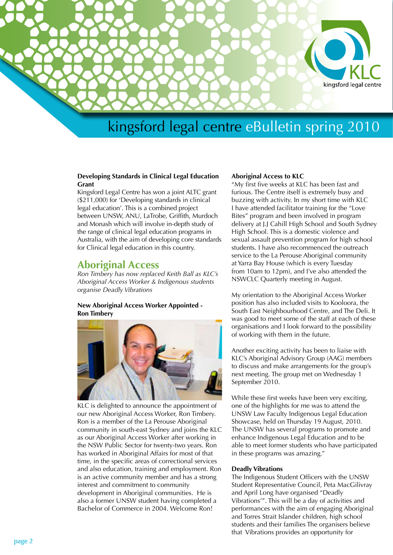

### **Developing Standards in Clinical Legal Education Grant**

Kingsford Legal Centre has won a joint ALTC grant (\$211,000) for 'Developing standards in clinical legal education'. This is a combined project between UNSW, ANU, LaTrobe, Griffith, Murdoch and Monash which will involve in-depth study of the range of clinical legal education programs in Australia, with the aim of developing core standards for Clinical legal education in this country.

# **Aboriginal Access**

*Ron Timbery has now replaced Keith Ball as KLC's Aboriginal Access Worker & Indigenous students organise Deadly Vibrations*

## **New Aboriginal Access Worker Appointed - Ron Timbery**



KLC is delighted to announce the appointment of our new Aboriginal Access Worker, Ron Timbery. Ron is a member of the La Perouse Aboriginal community in south-east Sydney and joins the KLC as our Aboriginal Access Worker after working in the NSW Public Sector for twenty-two years. Ron has worked in Aboriginal Affairs for most of that time, in the specific areas of correctional services and also education, training and employment. Ron is an active community member and has a strong interest and commitment to community development in Aboriginal communities. He is also a former UNSW student having completed a Bachelor of Commerce in 2004. Welcome Ron!

#### **Aboriginal Access to KLC**

"My first five weeks at KLC has been fast and furious. The Centre itself is extremely busy and buzzing with activity. In my short time with KLC I have attended facilitator training for the "Love Bites" program and been involved in program delivery at J.J Cahill High School and South Sydney High School. This is a domestic violence and sexual assault prevention program for high school students. I have also recommenced the outreach service to the La Perouse Aboriginal community at Yarra Bay House (which is every Tuesday from 10am to 12pm), and I've also attended the NSWCLC Quarterly meeting in August.

My orientation to the Aboriginal Access Worker position has also included visits to Kooloora, the South East Neighbourhood Centre, and The Deli. It was good to meet some of the staff at each of these organisations and I look forward to the possibility of working with them in the future.

Another exciting activity has been to liaise with KLC's Aboriginal Advisory Group (AAG) members to discuss and make arrangements for the group's next meeting. The group met on Wednesday 1 September 2010.

While these first weeks have been very exciting, one of the highlights for me was to attend the UNSW Law Faculty Indigenous Legal Education Showcase, held on Thursday 19 August, 2010. The UNSW has several programs to promote and enhance Indigenous Legal Education and to be able to meet former students who have participated in these programs was amazing."

#### **Deadly Vibrations**

The Indigenous Student Officers with the UNSW Student Representative Council, Peta MacGilivray and April Long have organised "Deadly Vibrations'". This will be a day of activities and performances with the aim of engaging Aboriginal and Torres Strait Islander children, high school students and their families The organisers believe that Vibrations provides an opportunity for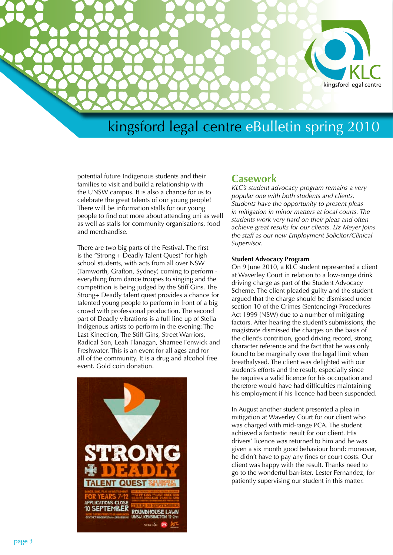

potential future Indigenous students and their families to visit and build a relationship with the UNSW campus. It is also a chance for us to celebrate the great talents of our young people! There will be information stalls for our young people to find out more about attending uni as well as well as stalls for community organisations, food and merchandise.

There are two big parts of the Festival. The first is the "Strong + Deadly Talent Quest" for high school students, with acts from all over NSW (Tamworth, Grafton, Sydney) coming to perform everything from dance troupes to singing and the competition is being judged by the Stiff Gins. The Strong+ Deadly talent quest provides a chance for talented young people to perform in front of a big crowd with professional production. The second part of Deadly vibrations is a full line up of Stella Indigenous artists to perform in the evening: The Last Kinection, The Stiff Gins, Street Warriors, Radical Son, Leah Flanagan, Sharnee Fenwick and Freshwater. This is an event for all ages and for all of the community. It is a drug and alcohol free event. Gold coin donation.



## **Casework**

*KLC's student advocacy program remains a very popular one with both students and clients. Students have the opportunity to present pleas in mitigation in minor matters at local courts. The students work very hard on their pleas and often achieve great results for our clients. Liz Meyer joins the staff as our new Employment Solicitor/Clinical Supervisor.*

#### **Student Advocacy Program**

On 9 June 2010, a KLC student represented a client at Waverley Court in relation to a low-range drink driving charge as part of the Student Advocacy Scheme. The client pleaded guilty and the student argued that the charge should be dismissed under section 10 of the Crimes (Sentencing) Procedures Act 1999 (NSW) due to a number of mitigating factors. After hearing the student's submissions, the magistrate dismissed the charges on the basis of the client's contrition, good driving record, strong character reference and the fact that he was only found to be marginally over the legal limit when breathalysed. The client was delighted with our student's efforts and the result, especially since he requires a valid licence for his occupation and therefore would have had difficulties maintaining his employment if his licence had been suspended.

In August another student presented a plea in mitigation at Waverley Court for our client who was charged with mid-range PCA. The student achieved a fantastic result for our client. His drivers' licence was returned to him and he was given a six month good behaviour bond; moreover, he didn't have to pay any fines or court costs. Our client was happy with the result. Thanks need to go to the wonderful barrister, Lester Fernandez, for patiently supervising our student in this matter.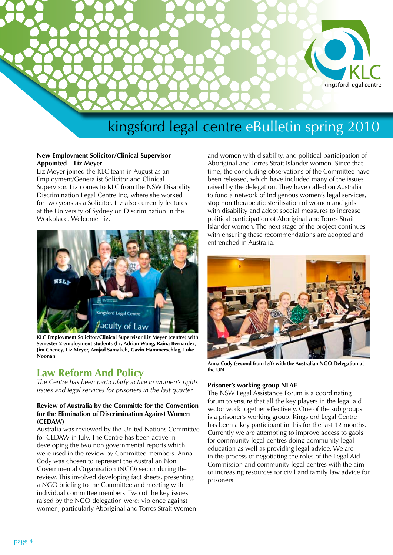

## **New Employment Solicitor/Clinical Supervisor Appointed – Liz Meyer**

Liz Meyer joined the KLC team in August as an Employment/Generalist Solicitor and Clinical Supervisor. Liz comes to KLC from the NSW Disability Discrimination Legal Centre Inc, where she worked for two years as a Solicitor. Liz also currently lectures at the University of Sydney on Discrimination in the Workplace. Welcome Liz.



**KLC Employment Solicitor/Clinical Supervisor Liz Meyer (centre) with Semester 2 employment students (l-r, Adrian Wong, Raina Bernardez, Jim Cheney, Liz Meyer, Amjad Samakeh, Gavin Hammerschlag, Luke Noonan**

# **Law Reform And Policy**

*The Centre has been particularly active in women's rights issues and legal services for prisoners in the last quarter.*

### **Review of Australia by the Committe for the Convention for the Elimination of Discrimination Against Women (CEDAW)**

Australia was reviewed by the United Nations Committee for CEDAW in July. The Centre has been active in developing the two non governmental reports which were used in the review by Committee members. Anna Cody was chosen to represent the Australian Non Governmental Organisation (NGO) sector during the review. This involved developing fact sheets, presenting a NGO briefing to the Committee and meeting with individual committee members. Two of the key issues raised by the NGO delegation were: violence against women, particularly Aboriginal and Torres Strait Women

and women with disability, and political participation of Aboriginal and Torres Strait Islander women. Since that time, the concluding observations of the Committee have been released, which have included many of the issues raised by the delegation. They have called on Australia to fund a network of Indigenous women's legal services, stop non therapeutic sterilisation of women and girls with disability and adopt special measures to increase political participation of Aboriginal and Torres Strait Islander women. The next stage of the project continues with ensuring these recommendations are adopted and entrenched in Australia.



**Anna Cody (second from left) with the Australian NGO Delegation at the UN**

## **Prisoner's working group NLAF**

The NSW Legal Assistance Forum is a coordinating forum to ensure that all the key players in the legal aid sector work together effectively. One of the sub groups is a prisoner's working group. Kingsford Legal Centre has been a key participant in this for the last 12 months. Currently we are attempting to improve access to gaols for community legal centres doing community legal education as well as providing legal advice. We are in the process of negotiating the roles of the Legal Aid Commission and community legal centres with the aim of increasing resources for civil and family law advice for prisoners.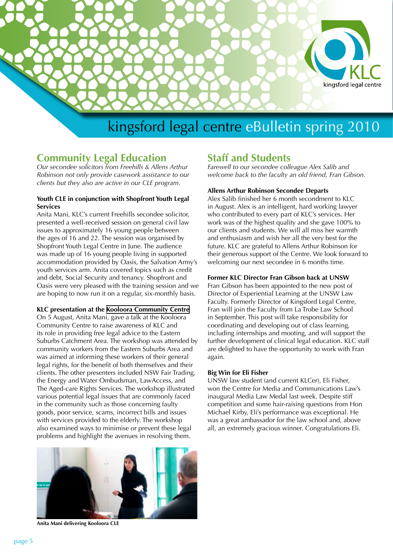

# **Community Legal Education**

*Our secondee solicitors from Freehills & Allens Arthur Robinson not only provide casework assistance to our clients but they also are active in our CLE program.*

### **Youth CLE in conjunction with Shopfront Youth Legal Services**

Anita Mani, KLC's current Freehills secondee solicitor, presented a well-received session on general civil law issues to approximately 16 young people between the ages of 16 and 22. The session was organised by Shopfront Youth Legal Centre in June. The audience was made up of 16 young people living in supported accommodation provided by Oasis, the Salvation Army's youth services arm. Anita covered topics such as credit and debt, Social Security and tenancy. Shopfront and Oasis were very pleased with the training session and we are hoping to now run it on a regular, six-monthly basis.

## **KLC presentation at the Kooloora [Community Centre](mailto:legal@unsw.edu.au)**

On 5 August, Anita Mani, gave a talk at the Kooloora Community Centre to raise awareness of KLC and its role in providing free legal advice to the Eastern Suburbs Catchment Area. The workshop was attended by community workers from the Eastern Suburbs Area and was aimed at informing these workers of their general legal rights, for the benefit of both themselves and their clients. The other presenters included NSW Fair Trading, the Energy and Water Ombudsman, LawAccess, and The Aged-care Rights Services. The workshop illustrated various potential legal issues that are commonly faced in the community such as those concerning faulty goods, poor service, scams, incorrect bills and issues with services provided to the elderly. The workshop also examined ways to minimise or prevent these legal problems and highlight the avenues in resolving them.



**Anita Mani delivering Kooloora CLE**

# **Staff and Students**

*Farewell to our secondee colleague Alex Salib and welcome back to the faculty an old friend, Fran Gibson.*

#### **Allens Arthur Robinson Secondee Departs**

Alex Salib finished her 6 month secondment to KLC in August. Alex is an intelligent, hard working lawyer who contributed to every part of KLC's services. Her work was of the highest quality and she gave 100% to our clients and students. We will all miss her warmth and enthusiasm and wish her all the very best for the future. KLC are grateful to Allens Arthur Robinson for their generous support of the Centre. We look forward to welcoming our next secondee in 6 months time.

### **Former KLC Director Fran Gibson back at UNSW**

Fran Gibson has been appointed to the new post of Director of Experiential Learning at the UNSW Law Faculty. Formerly Director of Kingsford Legal Centre, Fran will join the Faculty from La Trobe Law School in September. This post will take responsibility for coordinating and developing out of class learning, including internships and mooting, and will support the further development of clinical legal education. KLC staff are delighted to have the opportunity to work with Fran again.

#### **Big Win for Eli Fisher**

UNSW law student (and current KLCer), Eli Fisher, won the Centre for Media and Communications Law's inaugural Media Law Medal last week. Despite stiff competition and some hair-raising questions from Hon Michael Kirby, Eli's performance was exceptional. He was a great ambassador for the law school and, above all, an extremely gracious winner. Congratulations Eli.